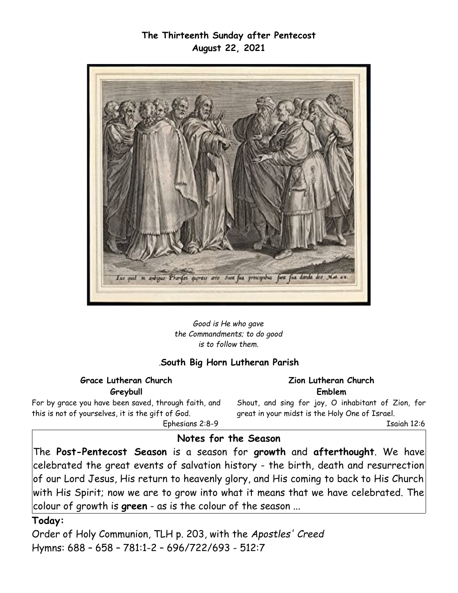### **The Thirteenth Sunday after Pentecost August 22, 2021**



*Good is He who gave the Commandments; to do good is to follow them.*

#### *.***South Big Horn Lutheran Parish**

**Grace Lutheran Church Greybull**

For by grace you have been saved, through faith, and this is not of yourselves, it is the gift of God. Ephesians 2:8-9

**Zion Lutheran Church Emblem**

Shout, and sing for joy, O inhabitant of Zion, for great in your midst is the Holy One of Israel.

Isaiah 12:6

### **Notes for the Season**

The **Post-Pentecost Season** is a season for **growth** and **afterthought**. We have celebrated the great events of salvation history - the birth, death and resurrection of our Lord Jesus, His return to heavenly glory, and His coming to back to His Church with His Spirit; now we are to grow into what it means that we have celebrated. The colour of growth is **green** - as is the colour of the season ...

#### **Today:**

Order of Holy Communion, TLH p. 203, with the *Apostles' Creed*  Hymns: 688 – 658 – 781:1-2 – 696/722/693 - 512:7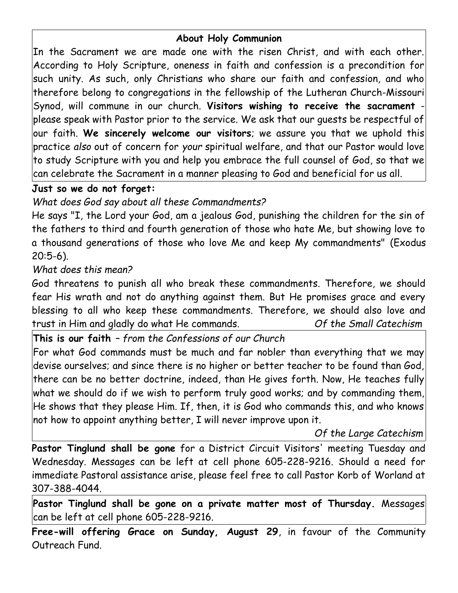# **About Holy Communion**

In the Sacrament we are made one with the risen Christ, and with each other. According to Holy Scripture, oneness in faith and confession is a precondition for such unity. As such, only Christians who share our faith and confession, and who therefore belong to congregations in the fellowship of the Lutheran Church-Missouri Synod, will commune in our church. **Visitors wishing to receive the sacrament** please speak with Pastor prior to the service. We ask that our guests be respectful of our faith. **We sincerely welcome our visitors**; we assure you that we uphold this practice *also* out of concern for *your* spiritual welfare, and that our Pastor would love to study Scripture with you and help you embrace the full counsel of God, so that we can celebrate the Sacrament in a manner pleasing to God and beneficial for us all.

# **Just so we do not forget:**

*What does God say about all these Commandments?*

He says "I, the Lord your God, am a jealous God, punishing the children for the sin of the fathers to third and fourth generation of those who hate Me, but showing love to a thousand generations of those who love Me and keep My commandments" (Exodus 20:5-6).

# *What does this mean?*

God threatens to punish all who break these commandments. Therefore, we should fear His wrath and not do anything against them. But He promises grace and every blessing to all who keep these commandments. Therefore, we should also love and trust in Him and gladly do what He commands. *Of the Small Catechism*

# **This is our faith** *– from the Confessions of our Church*

For what God commands must be much and far nobler than everything that we may devise ourselves; and since there is no higher or better teacher to be found than God, there can be no better doctrine, indeed, than He gives forth. Now, He teaches fully what we should do if we wish to perform truly good works; and by commanding them, He shows that they please Him. If, then, it is God who commands this, and who knows not how to appoint anything better, I will never improve upon it.

#### *Of the Large Catechism*

**Pastor Tinglund shall be gone** for a District Circuit Visitors' meeting Tuesday and Wednesday. Messages can be left at cell phone 605-228-9216. Should a need for immediate Pastoral assistance arise, please feel free to call Pastor Korb of Worland at 307-388-4044.

**Pastor Tinglund shall be gone on a private matter most of Thursday.** Messages can be left at cell phone 605-228-9216.

**Free-will offering Grace on Sunday, August 29**, in favour of the Community Outreach Fund.